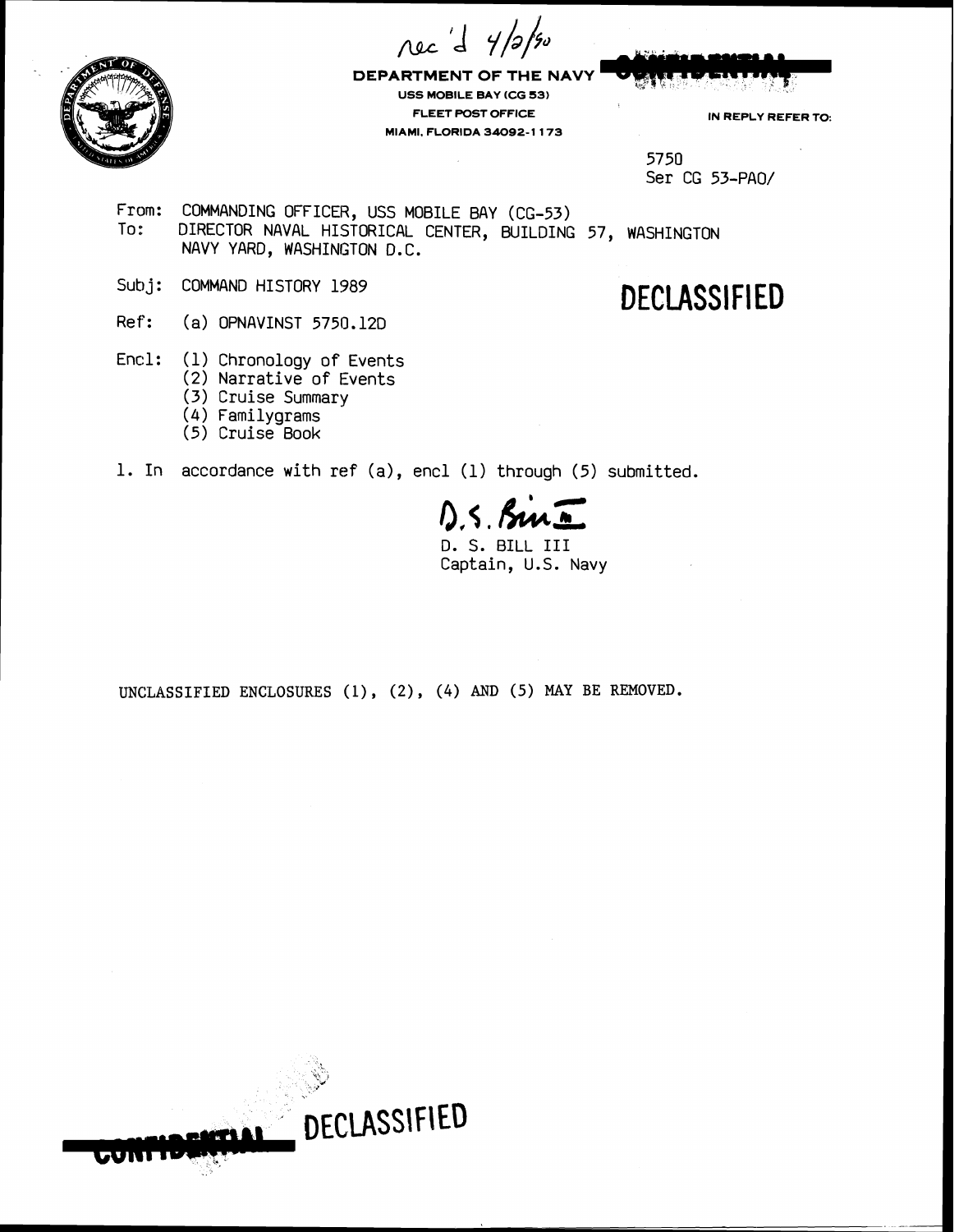nec d 4/2/50



**DEPARTMENT OF THE NAVY USS MOBILE BAY (CG 53) FLEET POST OFFICE IN REPLY REFER TO: MIAMI. FLORIDA 34092-1 173** 

5750 Ser CG 53-PAO/

From: COMMANDING OFFICER, USS MOBILE BAY (CG-53)<br>To: DIRECTOR NAVAL HISTORICAL CENTER, BUTLOING DIRECTOR NAVAL HISTORICAL CENTER, BUILDING 57, WASHINGTON NAVY YARD, WASHINGTON D.C.

- Sub **<sup>j</sup>**: COMMAND HISTORY 1989
- Ref: (a) OPNAVINST 5750.120
- Encl: (1) Chronology of Events
	- (2) Narrative of Events
	- **(3)** Cruise Summary
	- (4) Familygrams
	- (5) Cruise Book
- 1. In accordance with ref (a), encl (1) through (5) submitted.

 $D.S.$  Sur  $\overline{N}$ 

Captain, U.S. Navy

UNCLASSIFIED ENCLOSURES (1), (2), (4) AND (5) MAY BE REMOVED.



**DECLASSIFIED**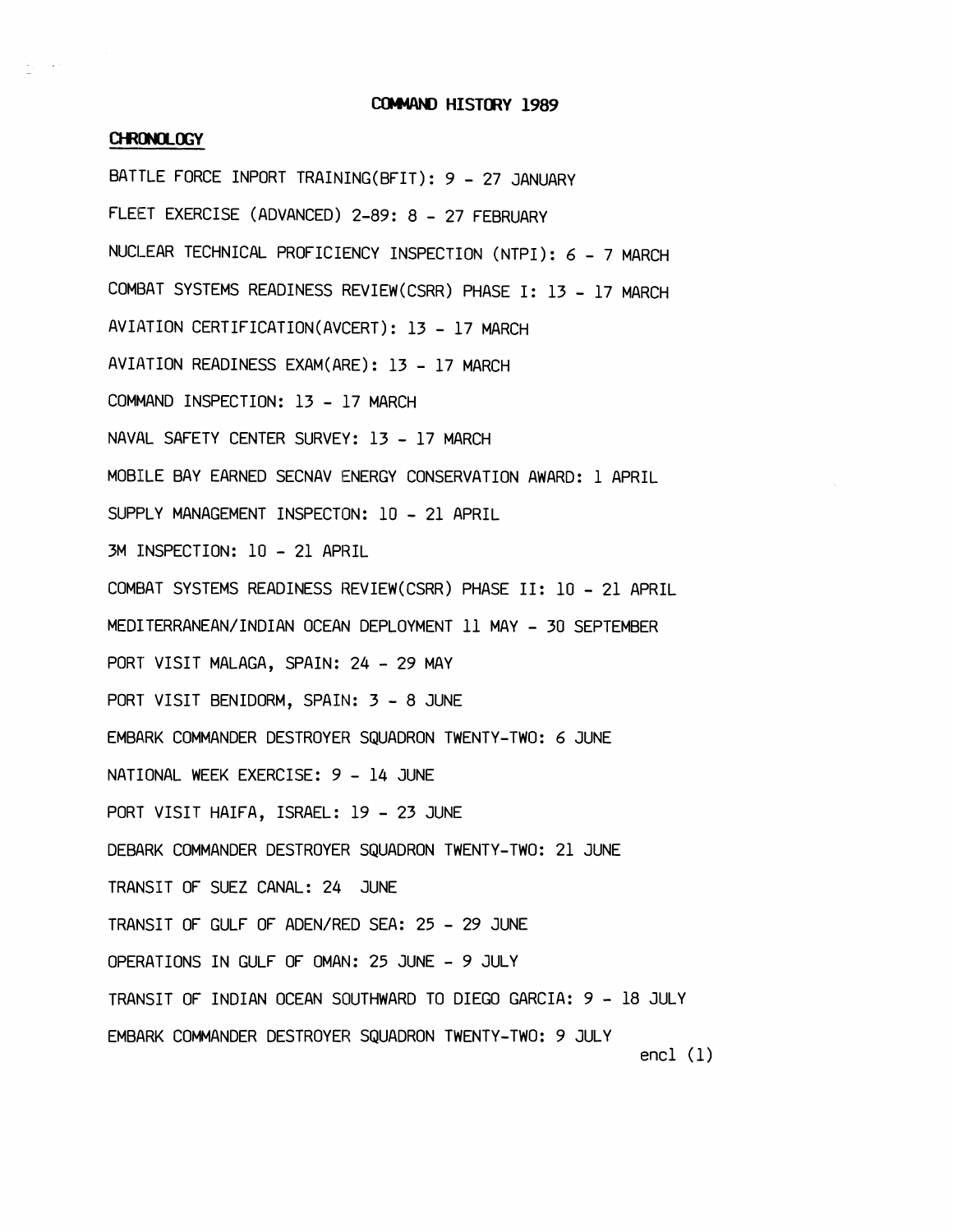## **COMMAND HISTORY 1989**

## CHRONOLOGY

BATTLE FORCE INPORT TRAINING(BFIT): 9 - 27 JANUARY FLEET EXERCISE (ADVANCED) 2-89: 8 - 27 FEBRUARY NUCLEAR TECHNICAL PROFICIENCY INSPECTION (NTPI): 6 - 7 MARCH COMBAT SYSTEMS READINESS REVIEW(CSRR) PHASE I: 13 - 17 MARCH AVIATION CERTIFICATION(AVCERT): 13 - 17 MARCH AVIATION READINESS EXAM(ARE) : 13 - 17 MARCH COMMAND INSPECTION: 13 - 17 MARCH NAVAL SAFETY CENTER SURVEY: 13 - 17 MARCH MOBILE BAY EARNED SECNAV ENERGY CONSERVATION AWARD: 1 APRIL SUPPLY MANAGEMENT INSPECTON: 10 - 21 APRIL 3M INSPECTION: 10 - 21 APRIL COMBAT SYSTEMS READINESS REVIEW(CSRR) PHASE 11: 10 - 21 APRIL MEDITERRANEAN/INDIAN OCEAN DEPLOYMENT 11 MAY - 30 SEPTEMBER PORT VISIT MALAGA, SPAIN: 24 - 29 MAY PORT VISIT BENIDORM, SPAIN: 3 - 8 JUNE EMBARK COMMANDER DESTROYER SQUADRON TWENTY-TWO: 6 JUNE NATIONAL WEEK EXERCISE: 9 - 14 JUNE PORT VISIT HAIFA, ISRAEL: 19 - 23 JUNE DEBARK COMMANDER DESTROYER SQUADRON TWENTY-TWO: 21 JUNE TRANSIT OF SUEZ CANAL: 24 JUNE TRANSIT OF GULF OF ADEN/RED SEA: 25 - 29 JUNE OPERATIONS IN GULF OF OMAN: 25 JUNE - 9 JULY TRANSIT OF INDIAN OCEAN SOUTHWARD TO DIEGO GARCIA: 9 - 18 JULY EMBARK COMMANDER DESTROYER SQUADRON TWENTY-TWO: 9 JULY encl (1)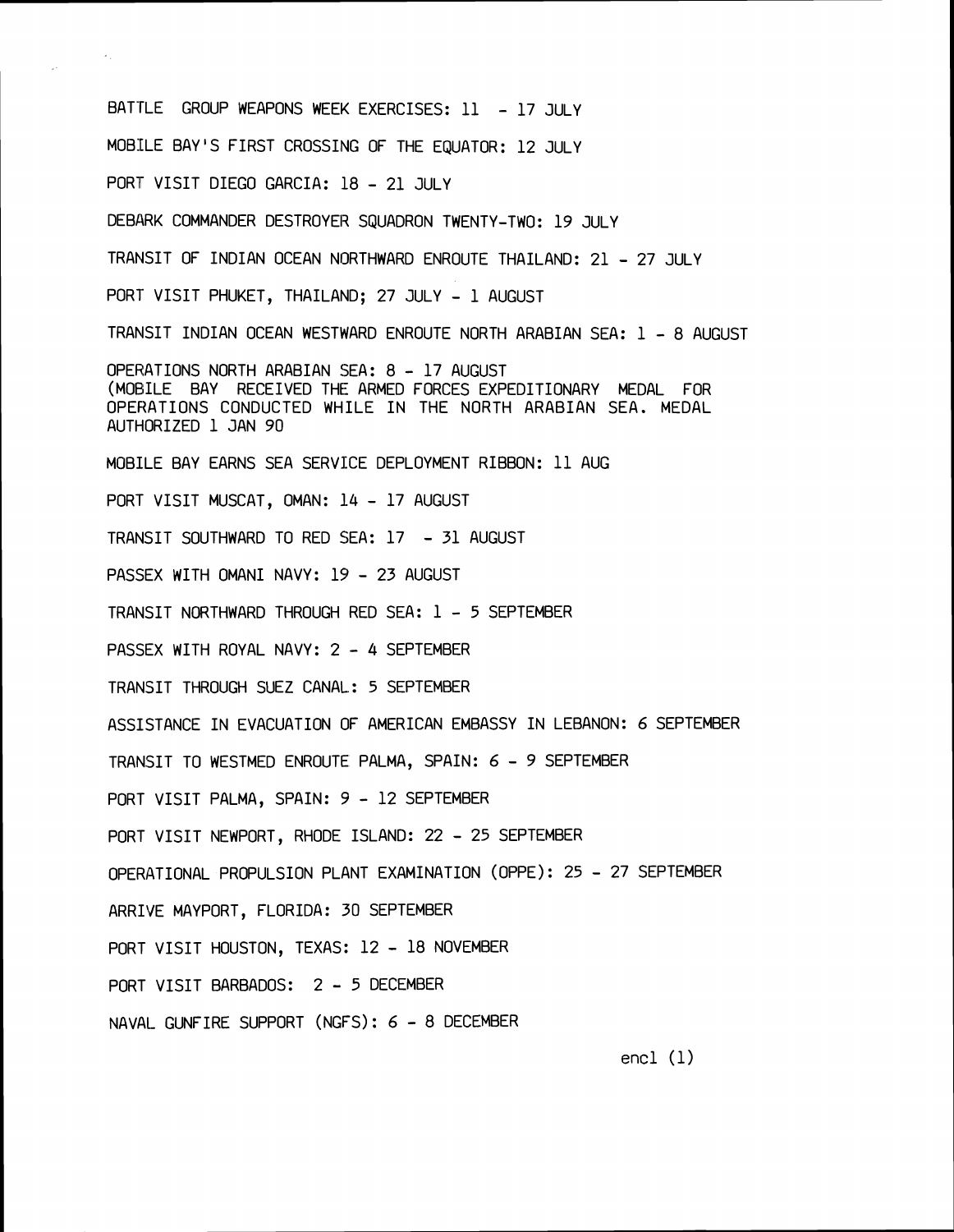BATTLE GROUP WEAPONS WEEK EXERCISES: 11 - 17 JULY MOBILE BAY'S FIRST CROSSING OF THE EQUATOR: 12 JULY PORT VISIT DIEGO GARCIA: 18 - 21 JULY DEBARK COMMANDER DESTROYER SQUADRON TWENTY-TWO: 19 JULY TRANSIT OF INDIAN OCEAN NORTHWARD ENROUTE THAILAND: <sup>21</sup>- <sup>27</sup>JULY PORT VISIT PHUKET, THAILAND; 27 JULY - 1 AUGUST TRANSIT INDIAN OCEAN WESTWARD ENROUTE NORTH ARABIAN SEA: 1 - 8 AUGUST OPERATIONS NORTH ARABIAN SEA: 8 - <sup>17</sup>AUGUST (MOBILE BAY RECEIVED THE ARMED FORCES EXPEDITIONARY MEDAL FOR OPERATIONS CONDUCTED WHILE IN THE NORTH ARABIAN SEA. MEDAL AUTHORIZED 1 JAN <sup>90</sup> MOBILE BAY EARNS SEA SERVIlCE DEPLOYMENT RIBBON: 11 AUG PORT VISIT MUSCAT, OMAN: 14 - 17 AUGUST TRANSIT SOUTHWARD TO RED SEA: <sup>17</sup>- 31 AUGUST PASSEX WITH OMANI NAVY: 19 - 23 AUGUST TRANSIT NORTHWARD THROUGH RED SEA: 1 - 5 SEPTEMBER PASSEX WITH ROYAL NAVY: 2 - 4 SEPTEMBER TRANSIT THROUGH SUEZ CANAL.: 5 SEPTEMBER ASSISTANCE IN EVACUATION OF AMERICAN EMBASSY IN LEBANON: 6 SEPTEMBER TRANSIT TO WESTMED ENROUTE PALMA, SPAIN: 6 - 9 SEPTEMBER PORT VISIT PALMA, SPAIN: 9 - 12 SEPTEMBER PORT VISIT NEWPORT, RHODE ISLAND: 22 - 25 SEPTEMBER OPERATIONAL PROPULSION PLANT EXAMINATION (OPPE): 25 - 27 SEPTEMBER ARRIVE MAYPORT, FLORIDA: 30 SEPTEMBER PORT VISIT HOUSTON, TEXAS: <sup>12</sup>- 18 NOVEMBER PORT VISIT BARBADOS: <sup>2</sup>- 5 DECEMBER NAVAL- GUNFIRE SUPPORT (NGFS): 6 - 8 DECEMBER

encl (1)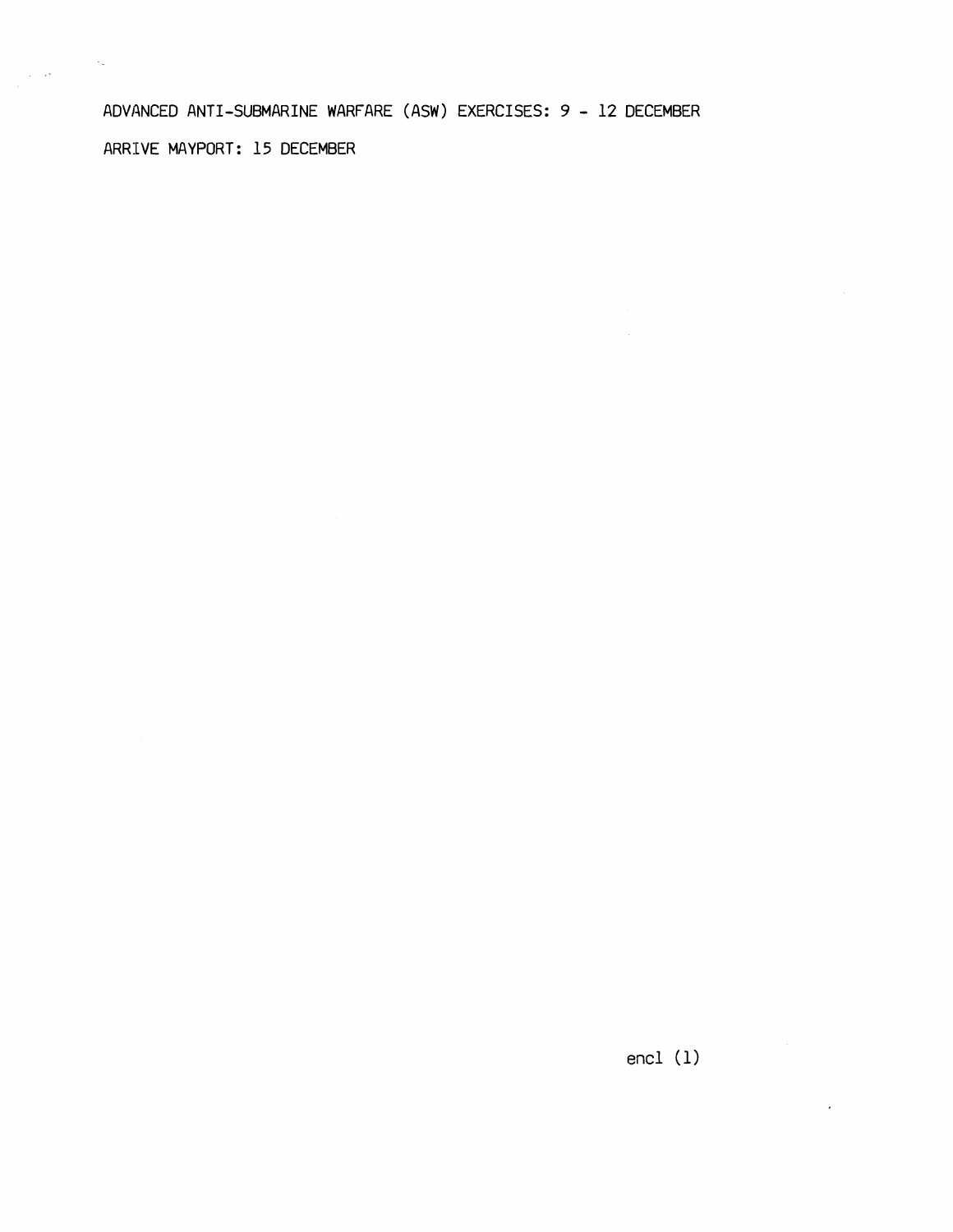ADVANCED ANTI-SUBMARINE WARFARE (ASW) EXERCISES: 9 - 12 DECEMBER ARRIVE MAYPORT: 15 DECEMBER

 $\label{eq:2} \begin{split} \frac{1}{2} \frac{1}{\sqrt{2}} \frac{1}{\sqrt{2}} \frac{1}{\sqrt{2}} \frac{1}{\sqrt{2}} \frac{1}{\sqrt{2}} \frac{1}{\sqrt{2}} \frac{1}{\sqrt{2}} \frac{1}{\sqrt{2}} \frac{1}{\sqrt{2}} \frac{1}{\sqrt{2}} \frac{1}{\sqrt{2}} \frac{1}{\sqrt{2}} \frac{1}{\sqrt{2}} \frac{1}{\sqrt{2}} \frac{1}{\sqrt{2}} \frac{1}{\sqrt{2}} \frac{1}{\sqrt{2}} \frac{1}{\sqrt{2}} \frac{1}{\sqrt{2}} \frac{1}{\sqrt{2}} \$ 

 $\sim$   $\sim$ 

encl **(1)**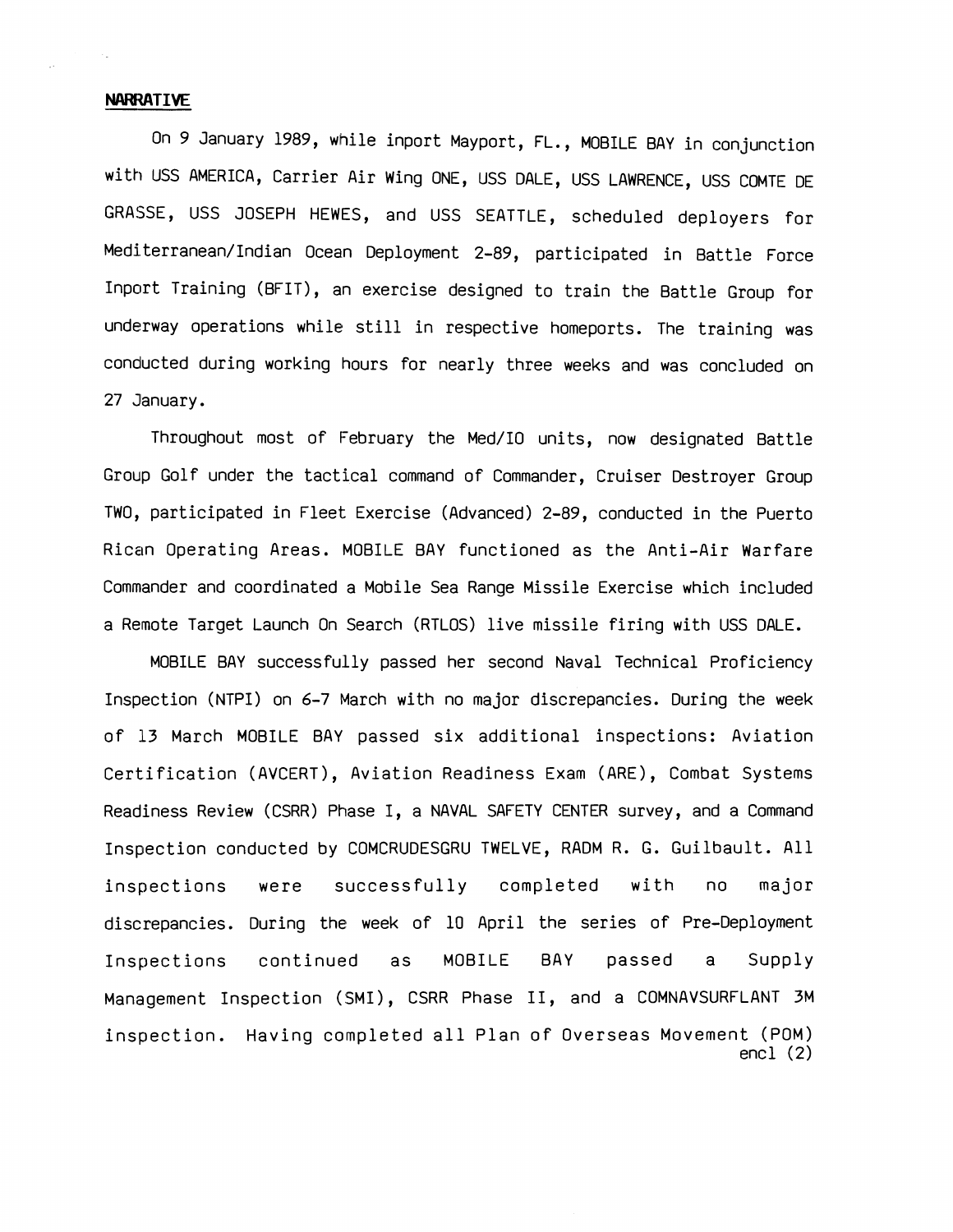## -- **NAWWTIVE**

On 9 January 1989, while inport Mayport, FL., MOBILE BAY in conjunction with USS AMERICA, Carrier Air Wing ONE, USS DALE, USS LAWRENCE, USS COMTE DE GRASSE, USS JOSEPH HEWES, and USS SEATTLE, scheduled deployers for Mediterranean/Indian Ocean Deployment 2-89, participated in Battle Force Inport Training (BFIT), an exercise designed to train the Battle Group for underway operations while still in respective homeports. The training was conducted during working hours for nearly three weeks and was concluded on 27 January.

Throughout most of February the Med/IO units, now designated Battle Group Golf under the tactical command of Commander, Cruiser Destroyer Group TWO, participated in Fleet Exercise (Advanced) 2-89, conducted in the Puerto Rican Operating Areas. MOBILE BAY functioned as the Anti-Air Warfare Commander and coordinated a Mobile Sea Range Missile Exercise which included a Remote Target Launch On Search (RTLOS) live missile firing with USS DALE.

MOBILE BAY successfully passed her second Naval Technical Proficiency Inspection (NTPI) on 6-7 March with no major discrepancies. During the week of 13 March MOBILE BAY passed six additional inspections: Aviation Certification (AVCERT), Aviation Readiness Exam (ARE), Combat Systems<br>Readiness Review (CSRR) Phase I, a NAVAL SAFETY CENTER survey, and a Command Inspection conducted by COMCRUDESGRU TWELVE, RADM R. G. Guilbault. All inspections were successfully completed with no major discrepancies. During the week of 10 April the series of Pre-Deployment Inspections continued as MOBILE BAY passed a Supply Management Inspection (SMI), CSRR Phase 11, and a COMNAVSURFLANT 3M inspection. Having completed all Plan of Overseas Movement (POM) encl (2)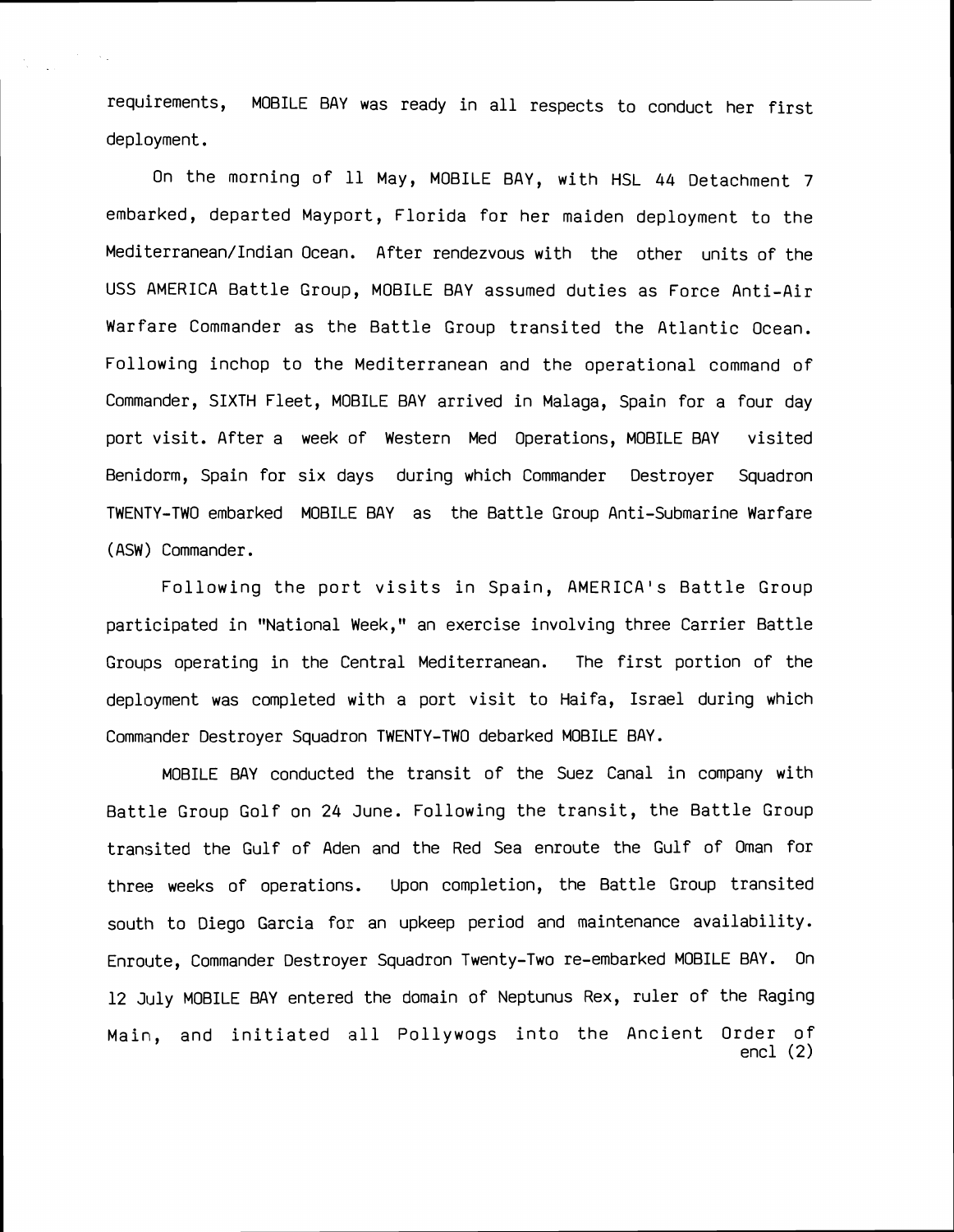requirements, MOBILE BAY was ready in all respects to conduct her first deployment.<br>On the morning of 11 May, MOBILE BAY, with HSL 44 Detachment 7

embarked, departed Mayport, Florida for her maiden deployment to the Mediterranean/Indian Ocean. After rendezvous with the other units of the USS AMERICA Battle Group, MOBILE BAY assumed duties as Force Anti-Air Warfare Commander as the Battle Group transited the Atlantic Ocean. Following inchop to the Mediterranean and the operational command of Commander, SIXTH Fleet, MOBILE BAY arrived in Malaga, Spain for a four day port visit. After a week of Western Med Operations, MOBILE BAY visited Benidorm, Spain for six days during which Commander Destroyer Squadron TWENTY-TWO embarked MOB1L.E BAY as the Battle Group Anti-Submarine Warfare ( ASW) Commander.

Following the port visits in Spain, AMERICA'S Battle Group participated in "National Week," an exercise involving three Carrier Battle Groups operating in the Central Mediterranean. The first portion of the deployment was completed with a port visit to Haifa, Israel during which Commander Destroyer Squadron TWENTY-TWO debarked MOBILE BAY.

MOBILE BAY conducted the transit of the Suez Canal in company with Battle Group Golf on 24 June. Following the transit, the Battle Group transited the Gulf of Aden and the Red Sea enroute the Gulf of Oman for three weeks of operations. Upon completion, the Battle Group transited south to Oiego Garcia for an upkeep period and maintenance availability. Enroute, Commander Destroyer Squadron Twenty-Two re-embarked MOBILE BAY. On 12 July MOBILE BAY entered the domain of Neptunus Rex, ruler of the Raging Main, and initiated all Pollywogs into the Ancient Order of encl **(2)**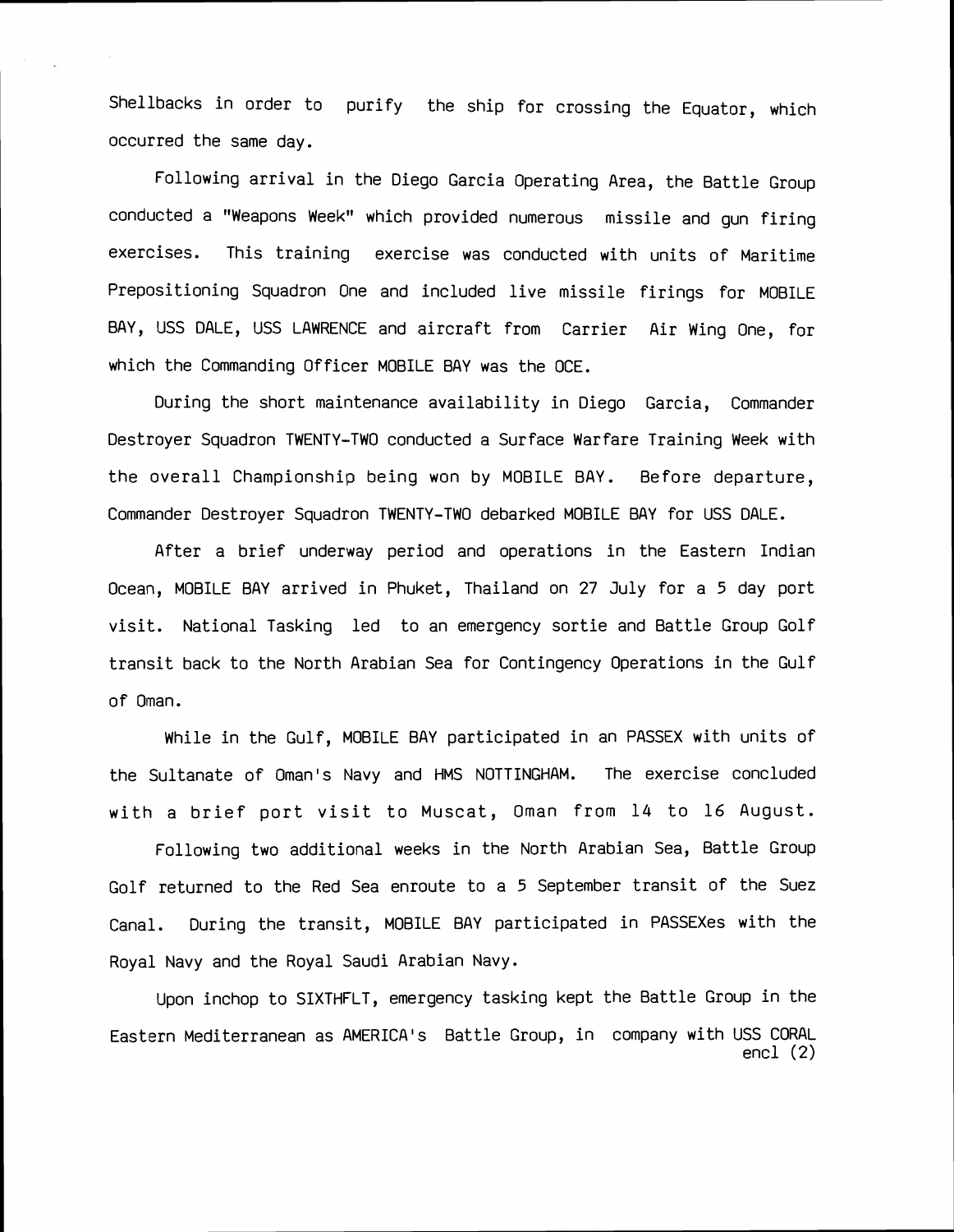Shellbacks in order to purify the ship for crossing the Equator, which occurred the same day.

Following arrival in the Diego Garcia Operating Area, the Battle Group conducted a "Weapons Week" which provided numerous missile and gun firing exercises. This training exercise was conducted with units of Maritime Prepositioning Squadron One and included live missile firings for MOBILE BAY, USS DALE, USS LAWRENCE and aircraft from Carrier Air Wing One, for which the Commanding Officer MOBILE BAY was the OCE.

During the short maintenance availability in Diego Garcia, Commander Destroyer Squadron TWENTY-TWO conducted a Surface Warfare Training Week with the overall Championship being won by MOBILE BAY. Before departure, Commander Destroyer Squadron TWENTY-TWO debarked MOBILE BAY for USS DALE.

After a brief underway period and operations in the Eastern Indian Ocean, MOBILE BAY arrived in Phuket, Thailand on 27 July for a 5 day port visit. National Tasking led to an emergency sortie and Battle Group Golf transit back to the North Arabian Sea for Contingency Operations in the Gulf of Oman.

While in the Gulf, MOBILE BAY participated in an PASSEX with units of the Sultanate of Oman's Navy and HMS NOTTINGHAM. The exercise concluded with a brief port visit to Muscat, Oman from 14 to 16 August.

Following two additional weeks in the North Arabian Sea, Battle Group Golf returned to the Red Sea enroute to a 5 September transit of the Suez Canal. During the transit, MOBILE BAY participated in PASSEXes with the Royal Navy and the Royal Saudi Arabian Navy.

Upon inchop to SIXTHFLT, emergency tasking kept the Battle Group in the Eastern Mediterranean as AMERICA'S Battle Group, in company with USS CORAL encl (2)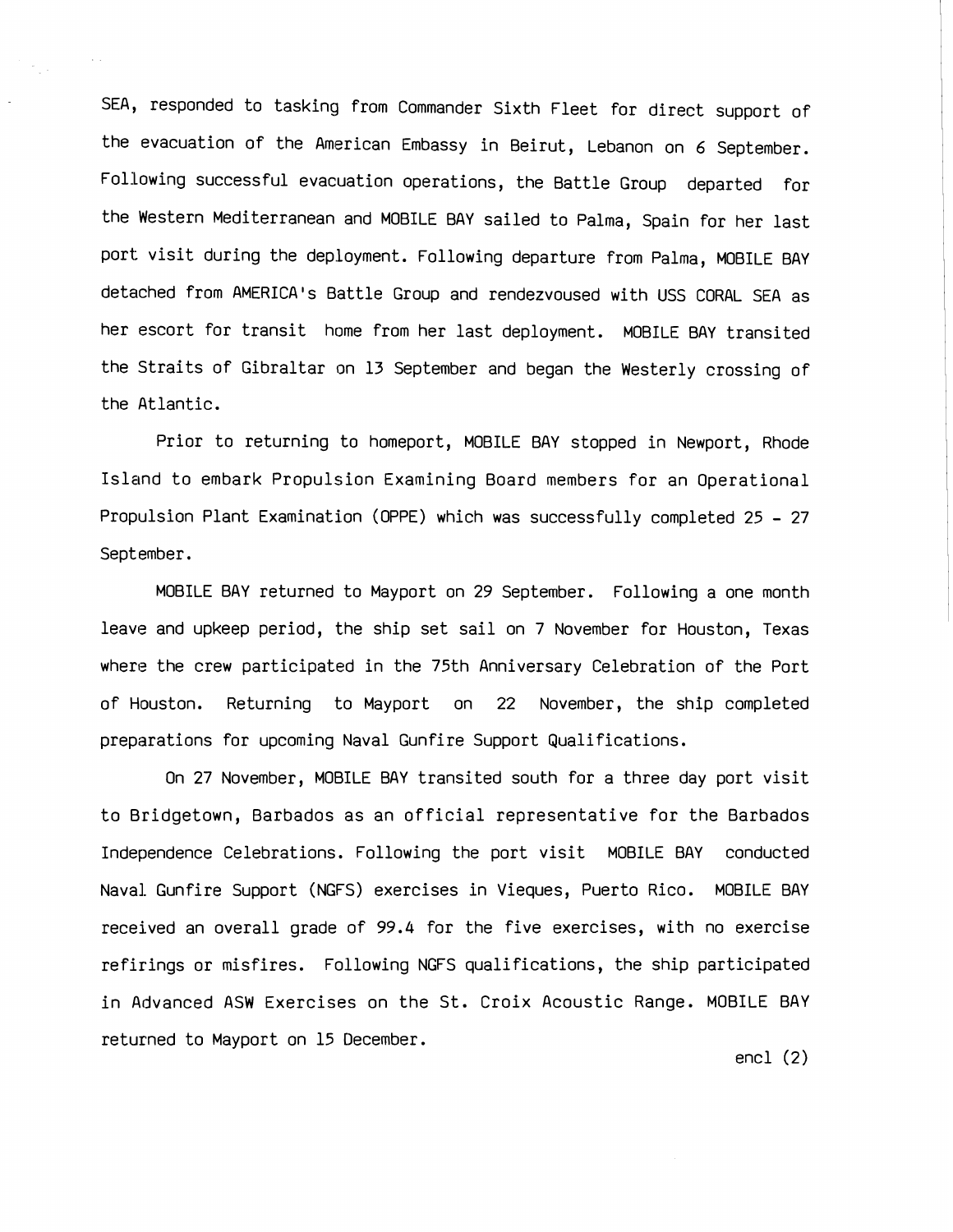SEA, responded to tasking from Commander Sixth Fleet for direct support of the evacuation of the American Embassy in Beirut, Lebanon on 6 September. Following successful evacuation operations, the Battle Group departed for the Western Mediterranean and MOBILE BAY sailed to Palma, Spain for her last port visit during the deployment. Following departure from Palma, MOBILE BAY detached from AMERICA's Battle Group and rendezvoused with USS CORAL SEA as her escort for transit home from her last deployment. MOBILE BAY transited the Straits of Gibraltar on 13 September and began the Westerly crossing of the Atlantic.

 $\sim$   $\sim$ 

Prior to returning to homeport, MOBILE BAY stopped in Newport, Rhode Island to embark Propulsion Examining Board members for an Operational Propulsion Plant Examination (OPPE) which was successfully completed 25 - 27 September.

MOBILE BAY returned to Mayport on 29 September. Following a one month leave and upkeep period, the ship set sail on 7 November for Houston, Texas where the crew participated in the 75th Anniversary Celebration of the Port of Houston. Returning to Mayport on 22 November, the ship completed preparations for upcoming Naval Gunfire Support Qualifications.

On 27 November, MOBILE BAY transited south for a three day port visit to Bridgetown, Barbados as an official representative for the Barbados Independence Celebrations. Following the port visit MOBILE BAY conducted Naval Gunfire Support (NGFS) exercises in Vieques, Puerto Rico. MOBILE BAY received an overall grade of 99.4 for the five exercises, with no exercise refirings or misfires. Following NGFS qualifications, the ship participated in Advanced ASW Exercises on the St. Croix Acoustic Range. MOBILE BAY returned to Mayport on 15 December. encl (2)